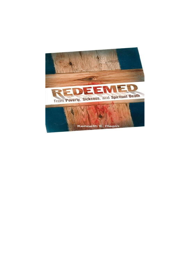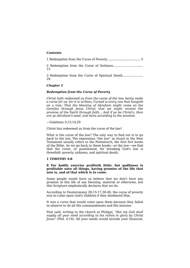# *Contents*

1 Redemption from the Curse of Poverty.................................... 5

2 Redemption from the Curse of Sickness................................ 15

3 Redemption from the Curse of Spiritual Death................................... 29

#### *Chapter 1*

#### *Redemption from the Curse of Poverty*

*Christ hath redeemed us from the curse of the law, being made a curse for us: for it is written, Cursed is every one that hangeth on a tree: That the blessing of Abraham might come on the Gentiles through Jesus Christ; that we might receive the promise of the Spirit through faith... And if ye be Christ's, then are ye Abraham's seed, and heirs according to the promise.*

—Galatians 3:13,14,29

Christ has redeemed us from the curse of the law!

What is the curse of the law? The only way to find out is to go back to the law. The expression "the law" as found in the New Testament usually refers to the Pentateuch, the first five books of the Bible. As we go back to these books—or the law—we find that the curse, or punishment, for breaking God's law is threefold: poverty, sickness, and spiritual death.

# **1 TIMOTHY 4:8**

# **8 For bodily exercise profiteth little: but godliness is profitable unto all things, having promise of the life that now is, and of that which is to come.**

Some people would have us believe that we don't have any promise in this life of any blessing, material or otherwise, but this Scripture emphatically declares that we do.

According to Deuteronomy 28:15-17,38-40, the curse of poverty was to come upon God's children if they disobeyed Him.

It was a curse that would come upon them because they failed to observe to do all His commandments and His statutes.

Paul said, writing to the church at Philippi, *''But my God shall supply all your need according to his riches in glory by Christ Jesus"* (Phil. 4:19). All your needs would include your financial,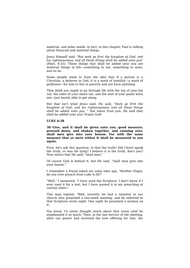material, and other needs. In fact, in this chapter, Paul is talking about financial and material things.

Jesus Himself said, *"But seek ye first the kingdom of God, and his righteousness; and all these things shall be added unto you"* (Matt. 6:33). These things that shall be added unto you are material things in life—something to eat, something to wear, and so on.

Some people seem to have the idea that if a person is a Christian, a believer in God, it is a mark of humility—a mark of godliness—for him to live in poverty and not have anything.

They think you ought to go through life with the top of your hat out, the soles of your shoes out, and the seat of your pants worn out—just barely able to get along.

But that isn't what Jesus said. He said, *"Seek ye first the kingdom of God, and his righteousness; and all these things shall be added unto you.* " Not *taken from* you; He said they shall be *added unto* you! Praise God!

# **LUKE 6:38**

**38 Give, and it shall be given unto you; good measure, pressed down, and shaken together, and running over, shall men give into your bosom. For with the same measure that ye mete withal it shall be measured to you again.**

First, let's ask this question: Is that the truth? Did Christ speak the truth, or was He lying? I believe it is the truth, don't you? Now notice that He said, "shall men."

Of course God is behind it, but He said, "shall men give into your bosom."

I remember a friend asked me some time ago, "Brother Hagin, do you ever preach from Luke 6:38?"

"Well," I answered, "I have used the Scripture. I don't know if I ever used it for a text, but I have quoted it in my preaching at various times."

This man replied, "Well, recently we had a minister in our church who preached a two-week meeting, and he referred to that Scripture every night. One night he preached a sermon on it.

You know, I'd never thought much about that verse until he emphasized it so much. Then, in the last service of the meeting, after our pastor had received the love offering for him, the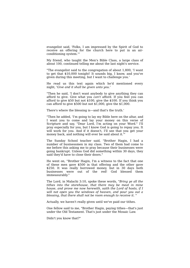evangelist said, 'Folks, I am impressed by the Spirit of God to receive an offering for the church here to put in an airconditioning system."

My friend, who taught the Men's Bible Class, a large class of about 100, continued telling me about the last night's service.

"The evangelist said to the congregation of about 1,800, 'I want to get that \$10,000 tonight! It sounds big, I know, and you've given during this meeting, but I want to challenge you.'

He read us this text again which he'd mentioned every night, *'Give and it shall be given unto you.'*

"Then he said, 'I don't want anybody to give anything they can afford to give. Give what you *can't* afford. If you feel you can afford to give \$50 but not \$100, give the \$100. If you think you can afford to give \$500 but not \$1,000, give the \$1,000.

There's where the blessing is—and that's the truth.'

"Then he added, 'I'm going to lay my Bible here on the altar, and I want you to come and lay your money on this verse of Scripture and say, "Dear Lord, I'm acting on your Word." I'll pray especially for you, but I know God is going to repay you. It will work for you. And if it doesn't, I'll see that you get your money back, and nothing will ever be said about it."

The Sunday School teacher said, "Brother Hagin, I had a number of businessmen in my class. Two of them had come to me before this asking me to pray because their businesses were going bankrupt. Unless God did something within 30 days, they said they'd have to close their doors."

He went on, "Brother Hagin, I'm a witness to the fact that one of these men gave \$500 in that offering and the other gave \$250. It was really borrowed money, but in 30 days both businesses were out of the red! God blessed them immeasurably."

The Lord, in Malachi 3:10, spoke these words, *"Bring ye all the tithes into the storehouse, that there may be meat in mine house, and prove me now herewith, saith the Lord of hosts, if I will not open you the windows of heaven, and pour you out a blessing, that there shall not be room enough to receive it.* "

Actually, we haven't really given until we've paid our tithes.

One fellow said to me, "Brother Hagin, paying tithes—that's just under the Old Testament. That's just under the Mosaic Law.

Didn't you know that?"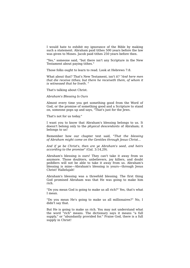I would hate to exhibit my ignorance of the Bible by making such a statement. Abraham paid tithes 500 years before the law was given to Moses. Jacob paid tithes 250 years before then.

"Yes," someone said, "but there isn't any Scripture in the New Testament about paying tithes."

Those folks ought to learn to read. Look at Hebrews 7:8.

What about that? That's New Testament, isn't it? *"And here men that die receive tithes; but there he receiveth them, of whom it is witnessed that he liveth.* "

That's talking about Christ.

*Abraham's Blessing Is Ours*

Almost every time you get something good from the Word of God, or the promise of something good and a Scripture to stand on, someone pops up and says, "That's just for the Jews.

That's not for us today."

I want you to know that Abraham's blessing belongs to us. It doesn't belong only to the *physical descendants* of Abraham; it belongs to us!

Remember how our chapter text said, *"That the blessing of Abraham might come on the Gentiles through Jesus Christ...*

*And if ye be Christ's, then are ye Abraham's seed, and heirs according to the promise"* (Gal. 3:14,29).

Abraham's blessing is ours! They can't take it away from us anymore. Those doubters, unbelievers, joy killers, and doubt peddlers will not be able to take it away from us. Abraham's blessing is mine—Abraham's blessing is yours—through Jesus Christ! Hallelujah!

Abraham's blessing was a threefold blessing. The first thing God promised Abraham was that He was going to make him rich.

"Do you mean God is going to make us all rich?" Yes, that's what I mean.

"Do you mean He's going to make us all millionaires?" No, I didn't say that.

But He is going to make us rich. You may not understand what the word "rich" means. The dictionary says it means "a full supply," or "abundantly provided for." Praise God, there is a full supply in Christ!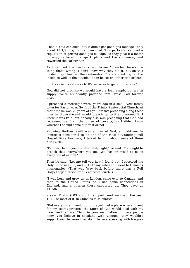I had a new car once, but it didn't get good gas mileage—only about 13 1/2 mpg on the open road. This particular car had a reputation of getting good gas mileage, so they gave it a motor tune-up, replaced the spark plugs and the condenser, and reworked the carburetor.

As I watched, the mechanic said to me, "Preacher, here's one thing that's wrong. I don't know why they did it, but on this model they changed the carburetor. There's a setting on the inside as well as the outside. It can be set on either rich or lean.

In this case it's set on rich. It's set so as to get a full supply."

God did not promise we would have a lean supply, but a *rich* supply. We're abundantly provided for! Praise God forever more!

I preached a meeting several years ago in a small New Jersey town for Pastor A. A. Swift of the Trinity Pentecostal Church. At that time he was 70 years of age. I wasn't preaching along these lines in those days—I would preach up to it and around it. I knew it was true, but nobody else was preaching that God had redeemed us from the curse of poverty, so I didn't know whether I should come out on it or not.

Knowing Brother Swift was a man of God, an old-timer in Pentecost considered to be one of the most outstanding Full Gospel Bible teachers, I talked to him about some of these Scriptures.

"Brother Hagin, you are absolutely right," he said. "You ought to preach that everywhere you go. God has promised to make every one of us rich."

Then he said, "Let me tell you how I found out. I received the Holy Spirit in 1908, and in 1911 my wife and I went to China as missionaries. (That was 'way back before there was a Full Gospel organization or a Pentecostal circle.)

"I was born and grew up in London, came over to Canada, and then to the United States, so I had some connections in England, and a mission there supported us. They gave us \$1,236

a year. That's \$103 a month support. And we spent the year 1911, or most of it, in China as missionaries.

"But every time I would go to pray—I had a place where I went for my secret prayers—the Spirit of God would deal with my heart and tell me, 'Send in your resignation. If these people knew you believe in speaking with tongues, they wouldn't support you, because they don't believe speaking with tongues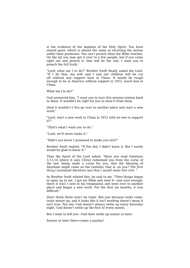is the evidence of the baptism of the Holy Spirit. You have stayed quiet, which is almost the same as receiving the money under false pretenses. You can't preach what the Bible teaches. On the sly you may get it over to a few people, but if you come right out and preach it, that will be the end. I want you to preach the full truth.'

"Lord, what am I to do?" Brother Swift finally asked the Lord. "If I do that, my wife and I and our children will be cut off without any support here in China. It would be rough enough to be in America without support in 1912, much less in China.

What am I to do?"

God answered him, "I want you to turn this mission station back to them. It wouldn't be right for you to steal it from them.

[And it wouldn't.] You go over to another place and start a new work."

"Lord, start a new work in China in 1912 with no one to support it?"

"That's what I want you to do."

"Lord, we'll never make it."

"Didn't you know I promised to make you rich?"

Brother Swift replied, "If You did, I didn't know it. But I surely would be glad to know it."

Then the Spirit of the Lord asked, "Have you read Galatians 3:13,14 where it says Christ redeemed you from the curse of the law, being made a curse for you, that the blessing of Abraham might come on the Gentiles; that is, on you? *The first thing I promised Abraham was that I would make him rich.* "

As Brother Swift related this, he said to me, "Then things began to open up to me. I got my Bible and read it—and sure enough, there it was! I sent in my resignation and went over to another place and began a new work. For the first six months, it was difficult."

Don't think there won't be trials. But just because tasks come, trials mount up, and it looks like it isn't working doesn't mean it isn't true. You see, God doesn't always settle up every Saturday night. God doesn't settle up the first of every month.

But I want to tell you—God does settle up sooner or later.

Sooner or later there comes a payday!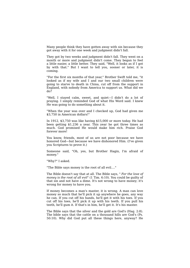Many people think they have gotten away with sin because they got away with it for one week and judgment didn't fall.

They got by two weeks and judgment didn't fall. They went on a month or more and judgment didn't come. They began to feel a little easier, a little better. They said, "Well, it looks as if I got by with that." But I want to tell you, sooner or later, it is coming.

"For the first six months of that year," Brother Swift told me, "it looked as if my wife and I and our two small children were going to starve to death in China, cut off from the support in England, with nobody from America to support us. What did we do?

"Well, I stayed calm, sweet, and quiet—I didn't do a lot of praying. I simply reminded God of what His Word said. I knew He was going to do something about it.

"When the year was over and I checked up, God had given me \$3,750 in American dollars!"

In 1912, \$3,750 was like having \$15,000 or more today. He had been getting \$1,236 a year. This year he got three times as much. God promised He would make him rich. Praise God forever more!

You know, friends, most of us are not poor because we have honored God—but because we have dishonored Him. (I've given you Scriptures to prove it.)

Someone said, "Oh, yes, but Brother Hagin, I'm afraid of money."

"Why?" I asked.

"The Bible says money is the root of all evil...."

The Bible doesn't say that at all. The Bible says, " *For the love of money is the root of all evil"* (1 Tim. 6:10). You could be guilty of that sin and not have a dime. It's not wrong to have money; it's wrong for money to have you.

If money becomes a man's master, it is wrong. A man can love money so much that he'll pick it up anywhere he goes, any way he can. If you cut off his hands, he'll get it with his toes. If you cut off his toes, he'll pick it up with his teeth. If you pull his teeth, he'll gum it. If that's in him, he'll get it. It's his master.

The Bible says that the silver and the gold are God's (Hag. 2:8). The bible says that the cattle on a thousand hills are God's (Ps. 50:10). Why did God put all these things here, anyway? He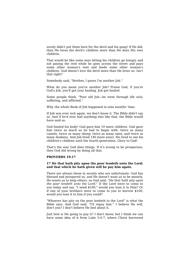surely didn't put them here for the devil and his gang! If He did, then He loves the devil's children more than He does His own children.

That would be like some man letting his children go hungry and not paying the rent while he goes across the street and pays some other woman's rent and feeds some other woman's children. God doesn't love the devil more than He loves us. Isn't that right?

Somebody said, "Brother, I guess I'm another Job."

What do you mean you're another Job? Praise God, if you're God's Job, you'll get your healing. Job got healed.

Some people think, "Poor old Job—he went through life sick, suffering, and afflicted."

Why, the whole Book of Job happened in nine months' time.

If Job was ever sick again, we don't know it. The Bible didn't say so. And if he'd ever had anything else like that, the Bible would have said so.

God healed his body! God gave him 10 more children. God gave him twice as much as he had to begin with: twice as many camels, twice as many sheep, twice as many oxen, and twice as many donkeys. And Job lived 140 more years. He lived to see his children's children until the fourth generation. Glory to God!

That's the way God does things. If it's wrong to be prosperous, then God did wrong by doing all that.

#### **PROVERBS 19:17**

# **17 He that hath pity upon the poor lendeth unto the Lord; and that which he hath given will he pay him again.**

There are always those in society who are unfortunate. God has blessed and prospered us, and He doesn't want us to be miserly. He wants us to help others, so God said, *"He that hath pity upon the poor lendeth unto the Lord."* If the Lord were to come to you today and say, "I need \$100," would you loan it to Him? Or if one of your brothers were to come to you to borrow \$100, would you loan it to him if you could?

"Whoever has pity on the poor lendeth to the Lord" is what the Bible says. And God said, "I'll repay him." I believe He will, don't you? I don't believe He lied about it.

Just how is He going to pay it? I don't know, but I think we can have some idea of it from Luke 5:4-7, where Christ borrowed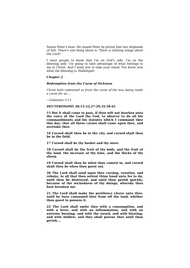Simon Peter's boat. He repaid Peter by giving him two shiploads of fish. There's one thing about it: There is nothing stingy about the Lord!

I want people to know that I'm on God's side. I'm on the blessing side. I'm going to take advantage of what belongs to me in Christ. And I want you to take your stand. You know now what the blessing is. Hallelujah!

#### *Chapter 2*

#### *Redemption from the Curse of Sickness*

*Christ hath redeemed us from the curse of the law, being made a curse for us....*

—Galatians 3:13

# **DEUTERONOMY 28:15-22,27-29,35,58-61**

**15 But it shall come to pass, if thou wilt not hearken unto the voice of the Lord thy God, to observe to do all his commandments and his statutes which I command thee this day; that all these curses shall come upon thee, and overtake thee:**

**16 Cursed shalt thou be in the city, and cursed shalt thou be in the field.**

**17 Cursed shall be thy basket and thy store.**

**18 Cursed shall be the fruit of thy body, and the fruit of thy land, the increase of thy kine, and the flocks of thy sheep.**

**19 Cursed shalt thou be when thou comest in, and cursed shalt thou be when thou goest out.**

**20 The Lord shall send upon thee cursing, vexation, and rebuke, in all that thou settest thine hand unto for to do, until thou be destroyed, and until thou perish quickly; because of the wickedness of thy doings, whereby thou hast forsaken me.**

**21 The Lord shall make the pestilence cleave unto thee, until he have consumed thee from off the land, whither thou goest to possess it.**

**22 The Lord shall smite thee with a consumption, and with a fever, and with an inflammation, and with an extreme burning, and with the sword, and with blasting, and with mildew; and they shall pursue thee until thou perish....**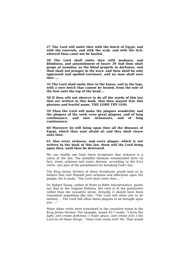**27 The Lord will smite thee with the botch of Egypt, and with the emerods, and with the scab, and with the itch, whereof thou canst not be healed.**

**28 The Lord shall smite thee with madness, and blindness, and astonishment of heart: 29 And thou shalt grope at noonday, as the blind gropeth in darkness, and thou shalt not prosper in thy ways: and thou shalt be only oppressed and spoiled evermore, and no man shall save thee ....**

**35 The Lord shall smite thee in the knees, and in the legs, with a sore botch that cannot be healed, from the sole of thy foot unto the top of thy head....**

**58 If thou wilt not observe to do all the words of this law that are written in this book, that thou mayest fear this glorious and fearful name, THE LORD THY GOD;**

**59 Then the Lord will make thy plagues wonderful, and the plagues of thy seed, even great plagues, and of long continuance, and sore sicknesses, and of long continuance.**

**60 Moreover he will bring upon thee all the diseases of Egypt, which thou wast afraid of; and they shall cleave unto thee.**

**61 Also every sickness, and every plague, which is not written in the book of this law, them will the Lord bring upon thee, until thou be destroyed.**

We can readily see from these Scriptures that sickness is a curse of the law. The dreadful diseases enumerated here—in fact, every sickness and every disease, according to the 61st verse—are part of the punishment for breaking God's law.

The *King James Version* of these Scriptures would lead us to believe that God Himself puts sickness and afflictions upon His people, for it reads, *"The Lord shall smite thee....* "

Dr. Robert Young, author of *Hints to Bible Interpretation,* points out that in the original Hebrew, the verb is in the permissive rather than the causative sense. Actually, it should have been translated something like this: "The Lord will *allow* you to be smitten ... The Lord will *allow* these plagues to be brought upon you ...."

Many other verbs were translated in the causative sense in the *King James Version.* For example, Isaiah 45:7 reads, *"I form the light, and create darkness: I make peace, and create evil: I the Lord do all these things.* " Does God create evil? No. That would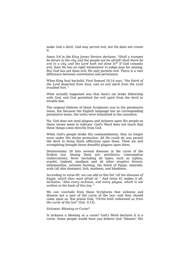make God a devil. God may *permit* evil, but He does not *create* it.

Amos 3:6 in the *King James Version* declares, *"Shall a trumpet be blown in the city, and the people not be afraid? shall there be evil in a city, and the Lord hath not done it?"* If God commits evil, then He has no right whatsoever to judge man for sinning. But God has not done evil; He only permits evil. There is a vast difference between *commission* and *permission.*

When King Saul backslid, First Samuel 16:14 says, *"the Spirit of the Lord departed from Saul, and an evil spirit from the Lord troubled him.* "

What actually happened was that Saul's sin broke fellowship with God, and God permitted the evil spirit from the devil to trouble him.

The original Hebrew of these Scriptures was in the permissive tense, but because the English language has no corresponding permissive tense, the verbs were translated in the causative.

No, God does not send plagues and sickness upon His people as these verses seem to indicate. God's Word does not teach that these things come directly from God.

When God's people broke His commandments, they no longer were under His divine protection. All He could do was permit the devil to bring those afflictions upon them. Their sin and wrongdoing brought those dreadful plagues upon them.

Deuteronomy 28 lists several diseases in the curse of the broken law. Among them are: pestilence, consumption (tuberculosis), fever (including all types, such as typhus, scarlet, typhoid, smallpox and all other eruptive fevers), inflammation, extreme burning, the botch of Egypt, emerods, scab (all skin diseases), itch, madness, and blindness.

According to verse 60, we can add to this list *"all the diseases of Egypt, which thou wast afraid of.* " And verse 61 makes it allinclusive: *"Also every sickness, and every plague, which is not written in the book of this law.* "

We can conclude from these Scriptures that sickness and disease are a part of the curse of the law—and they should come upon us. But praise God, *"Christ hath redeemed us from the curse of the law"* (Gal. 3:13).

#### *Sickness: Blessing or Curse?*

Is sickness a blessing or a curse? God's Word declares it is a curse. Some people would have you believe God "blesses" His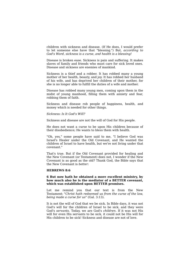children with sickness and disease. (If He does, I would prefer to let someone else have that "blessing.") But, *according to God's Word, sickness is a curse, and health is a blessing!*

Disease is broken ease. Sickness is pain and suffering. It makes slaves of family and friends who must care for sick loved ones. Disease and sickness are enemies of mankind.

Sickness is a thief and a robber. It has robbed many a young mother of her health, beauty, and joy. It has robbed her husband of his wife, and has deprived her children of their mother, for she is no longer able to fulfill the duties of a wife and mother.

Disease has robbed many young men, coming upon them in the midst of young manhood, filling them with anxiety and fear, robbing them of faith.

Sickness and disease rob people of happiness, health, and money which is needed for other things.

*Sickness: Is It God's Will?*

Sickness and disease are not the will of God for His people.

He does not want a curse to be upon His children because of their disobedience; He wants to bless them with health.

"Oh, yes," some people have said to me, "I believe God was Israel's Healer under the Old Covenant, and He wanted the children of Israel to have health, but we're not living under that covenant."

That's true. But if the Old Covenant provided for healing and the New Covenant (or Testament) does not, I wonder if the New Covenant is as good as the old? Thank God, the Bible says that the New Covenant is *better:*

# **HEBREWS 8:6**

# **6 But now hath he obtained a more excellent ministry, by how much also he is the mediator of a BETTER covenant, which was established upon BETTER promises.**

Let me remind you that our text is from the New Testament: *"Christ hath redeemed us from the curse of the law, being made a curse for us"* (Gal. 3:13).

It is not the will of God that we be sick. In Bible days, it was not God's will for the children of Israel to be sick, and they were God's *servants.* Today, we are God's *children.* If it was not His will for even His servants to be sick, it could not be His will for His children to be sick! Sickness and disease are not of love.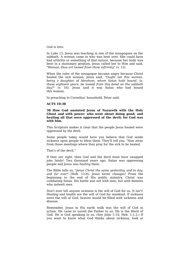God is love.

In Luke 13, Jesus was teaching in one of the synagogues on the sabbath. A woman came in who was bent over. She could have had arthritis or something of that nature, because her body was bent in a stationary position. Jesus called her to Him and said, *"Woman, thou art loosed from thine infirmity"* (v. 12).

When the ruler of the synagogue became angry because Christ healed the sick woman, Jesus said, *"Ought not this woman, being a daughter of Abraham, whom Satan hath bound, lo, these eighteen years, be loosed from this bond on the sabbath* day?" (v. 16). Jesus said it was Satan who had bound this woman.

In preaching to Cornelius' household, Peter said:

# **ACTS 10:38**

**38 How God anointed Jesus of Nazareth with the Holy Ghost and with power: who went about doing good, and healing all that were oppressed of the devil; for God was with him.**

This Scripture makes it clear that the people Jesus healed were oppressed by the devil.

Some people today would have you believe that God sends sickness upon people to bless them. They'll tell you, "Stay away from those meetings where they pray for the sick to be healed.

That's of the devil."

If they are right, then God and the devil must have swapped jobs lately! Two thousand years ago, Satan was oppressing people and Jesus was *healing* them.

The Bible tells us, *"Jesus Christ the same yesterday, and to day, and for ever"* (Heb. 13:8). Jesus never changes! From the beginning to the end of His public ministry, Christ was combating Satan. His battle was not with men, but with demons who indwelt men.

Don't ever tell anyone sickness is the will of God for us. It isn't! Healing and health are the will of God for mankind. If sickness were the will of God, heaven would be filled with sickness and disease.

Remember, Jesus in His earth walk was the will of God in action. He came to unveil the Father to us. He is the Word of God. He is God speaking to us. (See John 1:14; Heb. 1:1,2.) If you want to know what God thinks about sickness, look at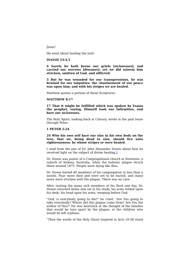Jesus!

He went about healing the sick!

#### **ISAIAH 53:4,5**

**4 Surely he hath borne our griefs [sicknesses], and carried our sorrows [diseases]: yet we did esteem him stricken, smitten of God, and afflicted.**

**5 But he was wounded for our transgressions, he was bruised for our iniquities: the chastisement of our peace was upon him; and with his stripes we are healed.**

Matthew quotes a portion of these Scriptures:

#### **MATTHEW 8:17**

**17 That it might be fulfilled which was spoken by Esaias the prophet, saying, Himself took our infirmities, and bare our sicknesses.**

The Holy Spirit, looking back at Calvary, wrote in the past tense through Peter:

#### **1 PETER 2:24**

**24 Who his own self bare our sins in his own body on the tree, that we, being dead to sins, should live unto righteousness: by whose stripes ye were healed.**

I read from the pen of Dr. John Alexander Dowie about how he received light on the subject of divine healing.1

Dr. Dowie was pastor of a Congregational church in Newtown, a suburb of Sydney, Australia, when the bubonic plague struck there around 1875. People were dying like flies.

Dr. Dowie buried 40 members of his congregation in less than a month. Four more died and were yet to be buried, and many more were stricken with the plague. There was no cure.

After visiting the many sick members of his flock one day, Dr. Dowie returned home and sat in his study, his arms folded upon his desk, his head upon his arms, weeping before God.

"God, is everybody going to die?" he cried. "Are You going to take everybody? Where did this plague come from? Are You the author of this?" He was heartsick at the thought of the families that would be torn apart by the plague; at the children who would be left orphans.

"Then the words of the Holy Ghost inspired in Acts 10:38 stood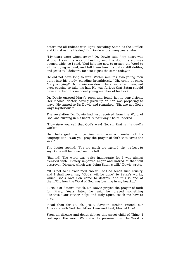before me all radiant with light, revealing Satan as the Defiler, and Christ as the Healer," Dr. Dowie wrote many years later.

"My tears were wiped away," Dr. Dowie said, "my heart was strong. I saw the way of healing, and the door thereto was opened wide, so I said, 'God help me now to preach the Word to all the dying around, and tell them how 'tis Satan still defiles, and Jesus still delivers, for "He is just the same today."'"

He did not have long to wait. Within minutes, two young men burst into his study, pleading breathlessly, "Oh, come at once. Mary is dying!" Dr. Dowie ran down the street after them, not even pausing to take his hat. He was furious that Satan should have attacked this innocent young member of his flock.

Dr. Dowie entered Mary's room and found her in convulsions. Her medical doctor, having given up on her, was preparing to leave. He turned to Dr. Dowie and remarked, "Sir, are not God's ways mysterious?"

The revelation Dr. Dowie had just received from the Word of God was burning in his heart. *"God's* way!" he thundered.

"How *dare* you call that God's way! No, sir, that is *the devil's* work!"

He challenged the physician, who was a member of his congregation, "Can you pray the prayer of faith that saves the sick?"

The doctor replied, "You are much too excited, sir, 'tis best to say God's will be done," and he left.

"Excited! The word was quite inadequate for I was almost frenzied with Divinely imparted anger and hatred of that foul destroyer, Disease, which was doing Satan's will," Dowie wrote.

"'It is not so,' I exclaimed, 'no will of God sends such cruelty, and I shall never say "God's will be done" to Satan's works, which God's own Son came to destroy, and this is one of them.'Oh, how the Word of God was burning in my heart....'"

Furious at Satan's attack, Dr. Dowie prayed the prayer of faith for Mary. Years later, he said he prayed something like this: "Our Father, help! and Holy Spirit, teach me how to pray.

Plead thou for us, oh, Jesus, Saviour, Healer, Friend, our Advocate with God the Father. Hear and heal, Eternal One!

From all disease and death deliver this sweet child of Thine. I rest upon the Word. We claim the promise now. The Word is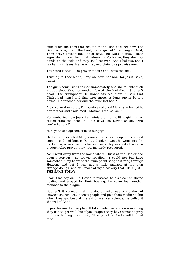true, 'I am the Lord that healeth thee.' Then heal her now. The Word is true, 'I am the Lord, I change not.' Unchanging God, Then prove Thyself the Healer now. The Word is true, 'These signs shall follow them that believe. In My Name, they shall lay hands on the sick, and they shall recover.' And I believe, and I lay hands in Jesus' Name on her, and claim this promise now.

Thy Word is true. 'The prayer of faith shall save the sick.'

Trusting in Thee alone, I cry, oh, save her now, for Jesus' sake, Amen!"

The girl's convulsions ceased immediately, and she fell into such a deep sleep that her mother feared she had died. "She isn't dead," the triumphant Dr. Dowie assured them. "I saw that Christ had heard and that once more, as long ago in Peter's house, 'He touched her and the fever left her.'"

After several minutes, Dr. Dowie awakened Mary. She turned to her mother and exclaimed, "Mother, I feel so well!"

Remembering how Jesus had ministered to the little girl He had raised from the dead in Bible days, Dr. Dowie asked, "And you're hungry?"

"Oh, yes," she agreed. "I'm so hungry."

Dr. Dowie instructed Mary's nurse to fix her a cup of cocoa and some bread and butter. Quietly thanking God, he went into the next room, where her brother and sister lay sick with the same plague. After prayer, they, too, instantly recovered.

"As I went away from the home where Christ as the Healer had been victorious," Dr. Dowie recalled, "I could not but have somewhat in my heart of the triumphant song that rang through Heaven, and yet I was not a little amazed at my own strange doings, and still more at my discovery that HE IS JUST THE SAME TODAY."

From that day on, Dr. Dowie ministered to his flock on divine healing and prayed for their healing. He never lost another member to the plague.

But isn't it strange that the doctor, who was a member of Dowie's church, would treat people and give them medicine, but when they got beyond the aid of medical science, he called it the will of God?

It puzzles me that people will take medicines and do everything they can to get well, but if you suggest they have someone pray for their healing, they'll say, "It may not be God's will to heal me."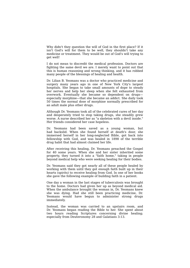Why didn't they question the will of God in the first place? If it isn't God's will for them to be well, they shouldn't take any medicine or treatment. They would be out of God's will trying to get well!

I do not mean to discredit the medical profession. Doctors are fighting the same devil we are. I merely want to point out that this is human reasoning and wrong thinking, and it has robbed many people of the blessings of healing and health.

Dr. Lilian B. Yeomans was a doctor who practiced medicine and surgery many years ago in one of New York City's largest hospitals. She began to take small amounts of dope to steady her nerves and help her sleep when she felt exhausted from overwork. Eventually she became so dependent on drugs especially morphine—that she became an addict. She daily took 50 times the normal dose of morphine normally prescribed for an adult male plus other drugs.

Although Dr. Yeomans took all of the celebrated cures of her day and desperately tried to stop taking drugs, she steadily grew worse. A nurse described her as "a skeleton with a devil inside." Her friends considered her case hopeless.

Dr. Yeomans had been saved as a young woman, but had backslid. When she found herself at death's door, she immersed herself in her long-neglected Bible, got back into fellowship with God, and was healed in 1898 of the terrible drug habit that had almost claimed her life.

After receiving this healing, Dr. Yeomans preached the Gospel for 40 some years. When she and her sister inherited some property, they turned it into a "faith home," taking in people beyond medical help who were seeking healing for their bodies.

Dr. Yeomans said they got nearly all of these people healed by working with them until they got enough faith built up in their hearts (spirits) to receive healing from God. In one of her books she gave the following example of building faith in a patient.

One day a woman in the last stages of tuberculosis was brought to the home. Doctors had given her up as beyond medical aid. When the ambulance brought the woman in, Dr. Yeomans knew she was dying. Had she still been practicing medicine, Dr. Yeomans would have begun to administer strong drugs immediately.

Instead, the woman was carried to an upstairs room, and Dr. Yeomans began reading the Bible to her. She spent about two hours reading Scriptures concerning divine healing; especially from Deuteronomy 28 and Galatians 3:13.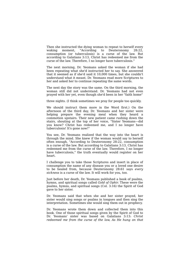Then she instructed the dying woman to repeat to herself every<br>waking moment, "According to Deuteronomy 28:22, waking moment, "According to consumption (or tuberculosis) is a curse of the law. But according to Galatians 3:13, Christ has redeemed me from the curse of the law. Therefore, I no longer have tuberculosis."

The next morning, Dr. Yeomans asked the woman if she had been repeating what she'd instructed her to say. She answered that it seemed as if she'd said it 10,000 times, but she couldn't understand what it meant. Dr. Yeomans read more Scriptures to her and asked her to continue repeating the same words.

The next day the story was the same. On the third morning, the woman still did not understand. Dr. Yeomans had not even prayed with her yet, even though she'd been in her "faith home"

three nights. (I think sometimes we pray for people too quickly.

We should instruct them more in the Word first.) On the afternoon of the third day, Dr. Yeomans and her sister were helping prepare the evening meal when they heard a commotion upstairs. Their new patient came rushing down the stairs, shouting at the top of her voice, "Sister Yeomans—did you know? Christ has redeemed me, and I no longer have tuberculosis! It's gone now!"

You see, Dr. Yeomans realized that the way into the heart is through the mind. She knew if the woman would say to herself often enough, "According to Deuteronomy 28:22, consumption is a curse of the law. But according to Galatians 3:13, Christ has redeemed me from the curse of the law. Therefore, I no longer have tuberculosis," the truth eventually would register on her heart.

I challenge you to take those Scriptures and insert in place of consumption the name of any disease you or a loved one desire to be healed from, because Deuteronomy 28:61 says *every sickness* is a curse of the law. It will work for you, too.

Just before her death, Dr. Yeomans published a book of psalms, hymns, and spiritual songs called *Gold of Ophir.* These were the psalms, hymns, and spiritual songs (Col. 3:16) the Spirit of God gave to her sister.

Dr. Yeomans said that when she and her sister prayed, her sister would sing songs or psalms in tongues and then sing the interpretation. Sometimes she would sing them out in prophecy.

Dr. Yeomans wrote them down and collected them into this book. One of those spiritual songs given by the Spirit of God to Dr. Yeomans' sister was based on Galatians 3:13: *Christ redeemed me from the curse of the law, As He hung on that*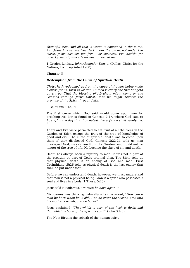*shameful tree, And all that is worse is contained in the curse, And Jesus has set me free. Not under the curse, not under the curse, Jesus has set me free; For sickness, I've health; for poverty, wealth, Since Jesus has ransomed me.*

1 Gordon Lindsay, *John Alexander Dowie,* (Dallas, Christ for the Nations, Inc., reprinted 1980).

#### *Chapter 3*

#### *Redemption from the Curse of Spiritual Death*

*Christ hath redeemed us from the curse of the law, being made a curse for us: for it is written, Cursed is every one that hangeth on a tree: That the blessing of Abraham might come on the Gentiles through Jesus Christ; that we might receive the promise of the Spirit through faith.*

#### —Galatians 3:13,14

The first curse which God said would come upon man for breaking His law is found in Genesis 2:17, where God said to Adam, *"in the day that thou eatest thereof thou shalt surely die.* "

Adam and Eve were permitted to eat fruit of all the trees in the Garden of Eden except the fruit of the tree of knowledge of good and evil. The curse of spiritual death was to come upon them if they disobeyed God. Genesis 3:22-24 tells us man disobeyed God, was driven from the Garden, and could eat no longer of the tree of life. He became the slave of sin and death.

Death has always been a mystery to man. It was not a part of the creation or part of God's original plan. The Bible tells us that physical death is an enemy of God and man. First Corinthians 15:26 tells us physical death is the last enemy that shall be put under foot.

Before we can understand death, however, we must understand that man is not a physical being. Man is a spirit who possesses a soul and lives in a body (1 Thess. 5:23).

Jesus told Nicodemus, *"Ye must be born again.* "

Nicodemus was thinking naturally when he asked, *"How can a man be born when he is old? Can he enter the second time into his mother's womb, and be born?"*

Jesus explained, *"That which is born of the flesh is flesh; and that which is born of the Spirit is spirit"* (John 3:4,6).

The New Birth is the rebirth of the human spirit.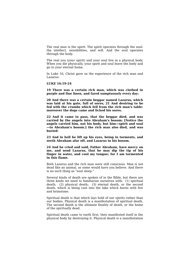The real man is the spirit. The spirit operates through the soul: the intellect, sensibilities, and will. And the soul operates through the body.

The real you (your spirit) and your soul live in a physical body. When you die physically, your spirit and soul leave the body and go to your eternal home.

In Luke 16, Christ gave us the experience of the rich man and Lazarus:

# **LUKE 16:19-24**

**19 There was a certain rich man, which was clothed in purple and fine linen, and fared sumptuously every day:**

**20 And there was a certain beggar named Lazarus, which was laid at his gate, full of sores, 21 And desiring to be fed with the crumbs which fell from the rich man's table: moreover the dogs came and licked his sores.**

**22 And it came to pass, that the beggar died, and was carried by the angels into Abraham's bosom: [Notice the angels carried him, not his body, but him—spirit and soul —to Abraham's bosom.] the rich man also died, and was buried:**

**23 And in hell he lift up his eyes, being in torments, and seeth Abraham afar off, and Lazarus in his bosom.**

**24 And he cried and said, Father Abraham, have mercy on me, and send Lazarus, that he may dip the tip of his finger in water, and cool my tongue; for I am tormented in this flame.**

Both Lazarus and the rich man were still conscious. Man is not dead like an animal, as some would have you believe. And there is no such thing as "soul sleep."

Several kinds of death are spoken of in the Bible, but there are three kinds we need to familiarize ourselves with: (1) spiritual death; (2) physical death; (3) eternal death, or the second death, which is being cast into the lake which burns with fire and brimstone.

Spiritual death is that which lays hold of our spirits rather than our bodies. Physical death is a manifestation of spiritual death. The second death is the ultimate finality of death, or the home of the spiritually dead.

Spiritual death came to earth first, then manifested itself in the physical body by destroying it. Physical death is a manifestation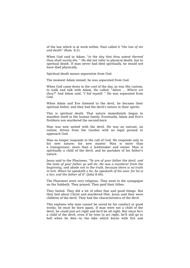of the law which is at work within. Paul called it *"the law of sin and death"* (Rom. 8:2).

When God said to Adam, *"in the day that thou eatest thereof thou shalt surely die,* " He did not refer to physical death, but to spiritual death. If man never had died spiritually, he would not have died physically.

Spiritual death means separation from God.

The moment Adam sinned, he was separated from God.

When God came down in the cool of the day, as was His custom, to walk and talk with Adam, He called, *"Adam ... Where art thou?"* And Adam said, *"I hid myself.* " He was separated from God.

When Adam and Eve listened to the devil, he became their spiritual father, and they had the devil's nature in their spirits.

This is spiritual death. That nature immediately began to manifest itself in the human family. Eventually, Adam and Eve's firstborn son murdered the second-born.

Man was now united with the devil. He was an outcast, an outlaw, driven from the Garden with no legal ground to approach God.

Man no longer responds to the call of God. He responds only to his new nature; his new master. Man is more than a transgressor; more than a lawbreaker and sinner. Man is spiritually a child of the devil, and he partakes of his father's nature.

Jesus said to the Pharisees, *"Ye are of your father the devil, and the lusts of your father ye will do. He was a murderer from the beginning, and abode not in the truth, because there is no truth in him. When he speaketh a lie, he speaketh of his own: for he is a liar, and the father of it"* (John 8:44).

The Pharisees were very religious. They went to the synagogue on the Sabbath. They prayed. They paid their tithes.

They fasted. They did a lot of other fine and good things. But they lied about Christ and murdered Him. Jesus said they were children of the devil. They had the characteristics of the devil.

This explains why man cannot be saved by his conduct or good works; he must be born again. If man were not a child of the devil, he could just act right and he'd be all right. But since he's a child of the devil, even if he tries to act right, he'll still go to hell when he dies—to the lake which burns with fire and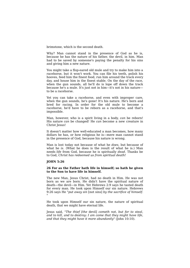brimstone, which is the second death.

Why? Man cannot stand in the presence of God as he is, because he has the nature of his father, the devil, in him. Man had to be saved by someone's paying the penalty for his sins and giving him a new nature.

You might take a flop-eared old mule and try to make him into a racehorse, but it won't work. You can file his teeth, polish his hooves, feed him the finest food, run him around the track every day, and house him in the finest stable. On the day of the race, when the gun sounds, all he'll do is lope off down the track because he's a mule. It's just not in him—it's not in his nature to be a racehorse.

Yet you can take a racehorse, and even with improper care, when the gun sounds, he's gone! It's his nature. He's born and bred for racing. In order for the old mule to become a racehorse, he'd have to be reborn as a racehorse, and that's impossible.

Man, however, who is a spirit living in a body, *can* be reborn! His nature *can* be changed! He *can* become a new creature in Christ Jesus!

It doesn't matter how well-educated a man becomes, how many dollars he has, or how religious he is—mere man cannot stand in the presence of God, because his nature is wrong.

Man is lost today not because of what he *does,* but because of what he *is.* (What he does is the result of what he is.) Man needs *life* from God, because he is spiritually *dead.* Thanks be to God, *Christ has redeemed us from spiritual death!*

## **JOHN 5:26**

## **26 For as the Father hath life in himself; so hath he given to the Son to have life in himself.**

The new Man, Jesus Christ, had no death in Him. He was not born as we are born. He didn't have the spiritual nature of death—the devil—in Him. Yet Hebrews 2:9 says he tasted death for every man. He took upon Himself our sin nature. Hebrews 9:26 says He *"put away sin* [not sins] *by the sacrifice of himself.* "

He took upon Himself our sin nature, the nature of spiritual death, that we might have eternal life.

Jesus said, *"The thief [the* devil] *cometh not, but for to steal, and to kill, and to destroy: I am come that they might have life, and that they might have it more abundantly"* (John 10:10).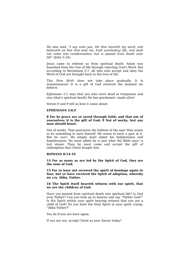He also said, *"I say unto you, He that heareth my word, and believeth on him that sent me, hath everlasting life, and shall not come into condemnation; but is passed from death unto life"* (John 5:24).

Jesus came to redeem us from spiritual death. Adam was banished from the tree of life through rejecting God's Word. But according to Revelation 2:7, all who now accept and obey the Word of God are brought back to the tree of life.

This *New Birth* does not take place gradually. It is instantaneous! It is a gift of God received the moment we believe.

Ephesians 2:1 says that you who were dead in trespasses and sins (that's spiritual death) He has quickened—made alive!

Verses 8 and 9 tell us how it came about:

# **EPHESIANS 2:8,9**

# **8 For by grace are ye saved through faith; and that not of yourselves: it is the gift of God: 9 Not of works, lest any man should boast.**

Not of works. That punctures the balloon of the ego! Man wants to *do* something to save himself. He wants to have a part in it. But he can't. He simply must admit his helplessness and hopelessness. He must admit he is just what the Bible says—a lost sinner. Then he must come and accept the gift of redemption that Christ bought him.

#### **ROMANS 8:14-16**

**14 For as many as are led by the Spirit of God, they are the sons of God.**

**15 For ye have not received the spirit of bondage again to fear; but ye have received the Spirit of adoption, whereby we cry, Abba, Father.**

# **16 The Spirit itself beareth witness with our spirit, that we are the children of God.**

Have you passed from spiritual death into spiritual life? Is God your Father? Can you look up to heaven and say, "Father God?" Is His Spirit within your spirit bearing witness that you are a child of God? Do you have the Holy Spirit in your spirit crying, "Abba Father?"

You do if you are born again.

If you are not, accept Christ as your Savior today!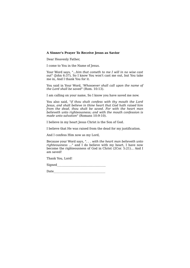# **A Sinner's Prayer To Receive Jesus as Savior**

Dear Heavenly Father,

I come to You in the Name of Jesus.

Your Word says, *"...him that cometh to me I will in no wise cast out"* (John 6:37), So I know You won't cast me out, but You take me in, And I thank You for it.

You said in Your Word, *'Whosoever shall call upon the name of the Lord shall be saved"* (Rom. 10:13).

I am calling on your name, So I know you have saved me now.

You also said, *"if thou shalt confess with thy mouth the Lord Jesus, and shalt believe in thine heart that God hath raised him from the dead, thou shalt be saved. For with the heart man believeth unto righteousness; and with the mouth confession is made unto salvation"* (Romans 10:9-10).

I believe in my heart Jesus Christ is the Son of God.

I believe that He was raised from the dead for my justification.

And I confess Him now as my Lord,

Because your Word says, ". . . *with the heart man believeth unto righteousness* ..." and I do believe with my heart, I have now become the righteousness of God in Christ (2Cor. 5:21)... And I am saved!

Thank You, Lord!

Signed\_\_\_\_\_\_\_\_\_\_\_\_\_\_\_\_\_\_\_\_\_\_\_\_\_\_\_\_\_\_\_\_\_

Date\_\_\_\_\_\_\_\_\_\_\_\_\_\_\_\_\_\_\_\_\_\_\_\_\_\_\_\_\_\_\_\_\_\_\_